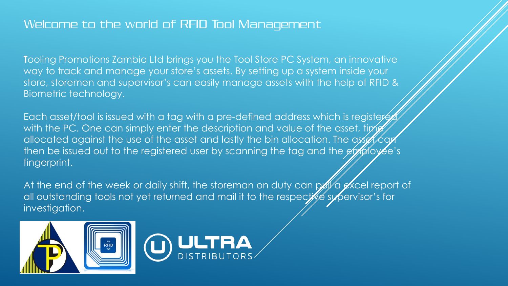# Welcome to the world of RFID Tool Management

**T**ooling Promotions Zambia Ltd brings you the Tool Store PC System, an innovative way to track and manage your store's assets. By setting up a system inside your store, storemen and supervisor's can easily manage assets with the help of RFID & Biometric technology.

Each asset/tool is issued with a tag with a pre-defined address which is registered with the PC. One can simply enter the description and value of the asset, time allocated against the use of the asset and lastly the bin allocation. The asset  $\epsilon$ then be issued out to the registered user by scanning the tag and the employee's fingerprint.

At the end of the week or daily shift, the storeman on duty can pull a excel report of all outstanding tools not yet returned and mail it to the respective supervisor's for investigation.



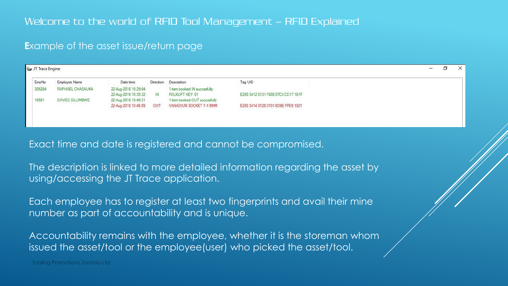### **E**xample of the asset issue/return page

| JT Trace Engine                 |                      |     |                                                                      |                                    |         | σ | $\times$    |
|---------------------------------|----------------------|-----|----------------------------------------------------------------------|------------------------------------|---------|---|-------------|
| Employee Name                   | Date time            |     |                                                                      |                                    |         |   |             |
| RAPHAEL CHASAUKA<br>309284      | 22-Aug-2016 10:29:04 |     | 1 item booked IN succesfully                                         |                                    |         |   |             |
|                                 |                      | IN  | FOLKLIFT KEY 01                                                      | E200 3412 0131 F800 07C3 CD17 1B1F |         |   |             |
| <b>DAVIES SILUMBWE</b><br>16581 |                      |     | 1 item booked OUT succesfully                                        |                                    |         |   |             |
|                                 |                      | OUT | VANADIUM SOCKET 1-1/8MM                                              | E200 3414 0128 0101 6D6E FFE9 1821 |         |   |             |
|                                 |                      |     |                                                                      |                                    |         |   |             |
|                                 |                      |     | 22-Aug-2016 10:35:32<br>22-Aug-2016 10:40:31<br>22-Aug-2016 10:46:59 | Direction Description              | Tag UID |   | <b>PAGE</b> |

Exact time and date is registered and cannot be compromised.

The description is linked to more detailed information regarding the asset by using/accessing the JT Trace application.

Each employee has to register at least two fingerprints and avail their mine number as part of accountability and is unique.

Accountability remains with the employee, whether it is the storeman whom issued the asset/tool or the employee(user) who picked the asset/tool.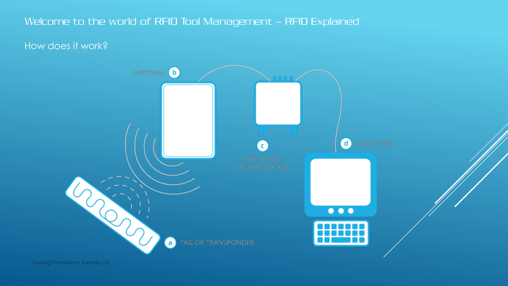## Welcome to the world of RFID Tool Management – RFID Explained

How does it work?

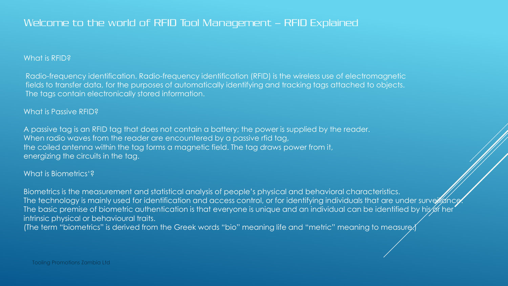### What is RFID?

Radio-frequency identification. Radio-frequency identification (RFID) is the wireless use of electromagnetic fields to transfer data, for the purposes of automatically identifying and tracking tags attached to objects. The tags contain electronically stored information.

### What is Passive RFID?

A passive tag is an RFID tag that does not contain a battery; the power is supplied by the reader. When radio waves from the reader are encountered by a passive rfid tag, the coiled antenna within the tag forms a magnetic field. The tag draws power from it, energizing the circuits in the tag.

### What is Biometrics'?

Biometrics is the measurement and statistical analysis of people's physical and behavioral characteristics. The technology is mainly used for identification and access control, or for identifying individuals that are under surveillance The basic premise of biometric authentication is that everyone is unique and an individual can be identified by his or her intrinsic physical or behavioural traits.

(The term "biometrics" is derived from the Greek words "bio" meaning life and "metric" meaning to measure.)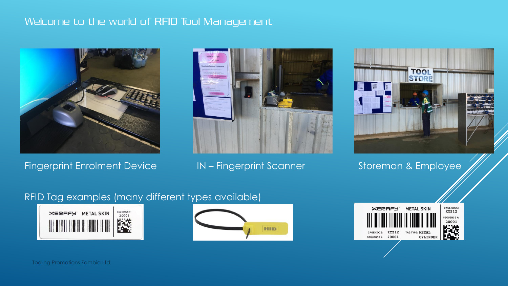### Welcome to the world of RFID Tool Management



Fingerprint Enrolment Device **IN – Fingerprint Scanner** Storeman & Employee





## RFID Tag examples (many different types available)





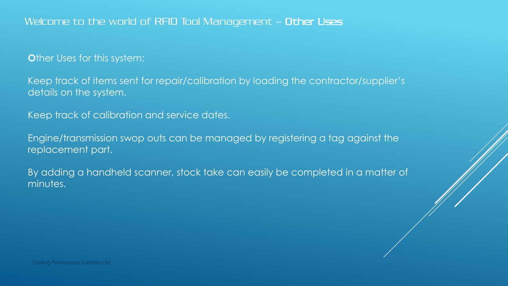### Welcome to the world of RFID Tool Management – Other Uses

**O**ther Uses for this system:

Keep track of items sent for repair/calibration by loading the contractor/supplier's details on the system.

Keep track of calibration and service dates.

Engine/transmission swop outs can be managed by registering a tag against the replacement part.

By adding a handheld scanner, stock take can easily be completed in a matter of minutes.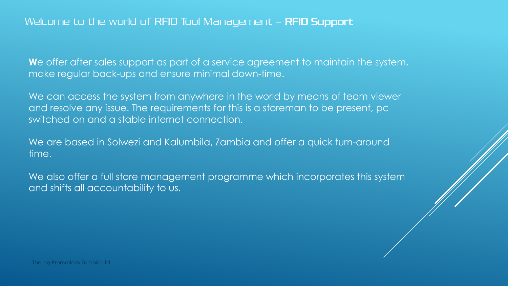We offer after sales support as part of a service agreement to maintain the system, make regular back-ups and ensure minimal down-time.

We can access the system from anywhere in the world by means of team viewer and resolve any issue. The requirements for this is a storeman to be present, pc switched on and a stable internet connection.

We are based in Solwezi and Kalumbila, Zambia and offer a quick turn-around time.

We also offer a full store management programme which incorporates this system and shifts all accountability to us.